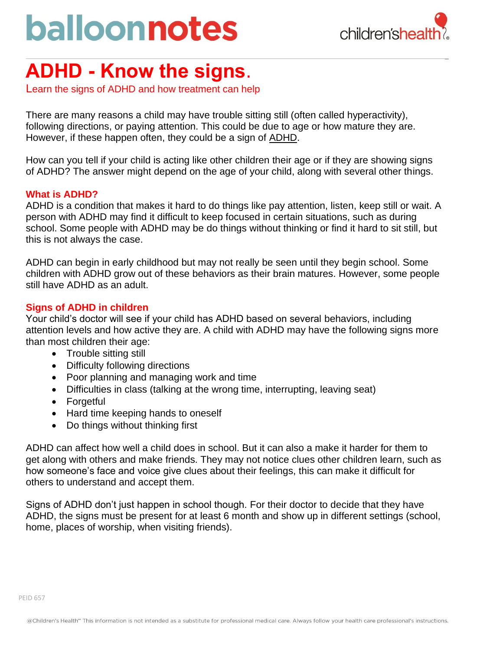# balloonnotes



# **ADHD - Know the signs**.

Learn the signs of ADHD and how treatment can help

There are many reasons a child may have trouble sitting still (often called hyperactivity), following directions, or paying attention. This could be due to age or how mature they are. However, if these happen often, they could be a sign of [ADHD.](https://www.childrens.com/specialties-services/conditions/adhd)

How can you tell if your child is acting like other children their age or if they are showing signs of ADHD? The answer might depend on the age of your child, along with several other things.

#### **What is ADHD?**

ADHD is a condition that makes it hard to do things like pay attention, listen, keep still or wait. A person with ADHD may find it difficult to keep focused in certain situations, such as during school. Some people with ADHD may be do things without thinking or find it hard to sit still, but this is not always the case.

ADHD can begin in early childhood but may not really be seen until they begin school. Some children with ADHD grow out of these behaviors as their brain matures. However, some people still have ADHD as an adult.

### **Signs of ADHD in children**

Your child's doctor will see if your child has ADHD based on several behaviors, including attention levels and how active they are. A child with ADHD may have the following signs more than most children their age:

- Trouble sitting still
- Difficulty following directions
- Poor planning and managing work and time
- Difficulties in class (talking at the wrong time, interrupting, leaving seat)
- Forgetful
- Hard time keeping hands to oneself
- Do things without thinking first

ADHD can affect how well a child does in school. But it can also a make it harder for them to get along with others and make friends. They may not notice clues other children learn, such as how someone's face and voice give clues about their feelings, this can make it difficult for others to understand and accept them.

Signs of ADHD don't just happen in school though. For their doctor to decide that they have ADHD, the signs must be present for at least 6 month and show up in different settings (school, home, places of worship, when visiting friends).